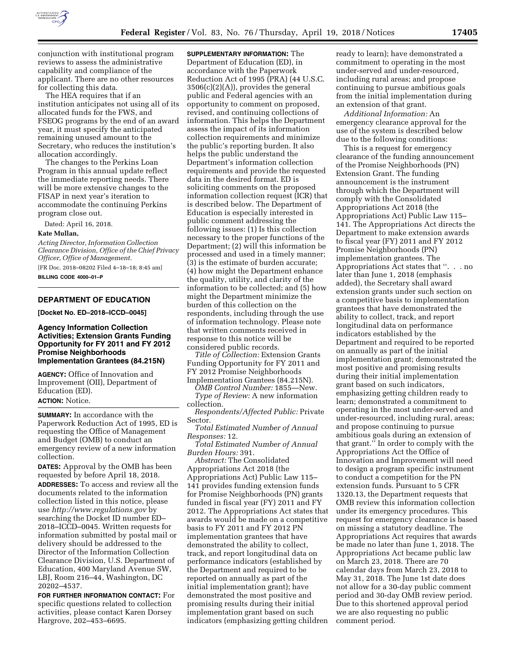

conjunction with institutional program reviews to assess the administrative capability and compliance of the applicant. There are no other resources for collecting this data.

The HEA requires that if an institution anticipates not using all of its allocated funds for the FWS, and FSEOG programs by the end of an award year, it must specify the anticipated remaining unused amount to the Secretary, who reduces the institution's allocation accordingly.

The changes to the Perkins Loan Program in this annual update reflect the immediate reporting needs. There will be more extensive changes to the FISAP in next year's iteration to accommodate the continuing Perkins program close out.

Dated: April 16, 2018.

#### **Kate Mullan,**

*Acting Director, Information Collection Clearance Division, Office of the Chief Privacy Officer, Office of Management.* 

[FR Doc. 2018–08202 Filed 4–18–18; 8:45 am] **BILLING CODE 4000–01–P** 

# **DEPARTMENT OF EDUCATION**

**[Docket No. ED–2018–ICCD–0045]** 

### **Agency Information Collection Activities; Extension Grants Funding Opportunity for FY 2011 and FY 2012 Promise Neighborhoods Implementation Grantees (84.215N)**

**AGENCY:** Office of Innovation and Improvement (OII), Department of Education (ED). **ACTION:** Notice.

**SUMMARY:** In accordance with the Paperwork Reduction Act of 1995, ED is requesting the Office of Management and Budget (OMB) to conduct an emergency review of a new information collection.

**DATES:** Approval by the OMB has been requested by before April 18, 2018. **ADDRESSES:** To access and review all the documents related to the information collection listed in this notice, please use *<http://www.regulations.gov>*by searching the Docket ID number ED– 2018–ICCD–0045. Written requests for information submitted by postal mail or delivery should be addressed to the Director of the Information Collection Clearance Division, U.S. Department of Education, 400 Maryland Avenue SW, LBJ, Room 216–44, Washington, DC 20202–4537.

**FOR FURTHER INFORMATION CONTACT:** For specific questions related to collection activities, please contact Karen Dorsey Hargrove, 202–453–6695.

**SUPPLEMENTARY INFORMATION:** The Department of Education (ED), in accordance with the Paperwork Reduction Act of 1995 (PRA) (44 U.S.C.  $3506(c)(2)(A)$ , provides the general public and Federal agencies with an opportunity to comment on proposed, revised, and continuing collections of information. This helps the Department assess the impact of its information collection requirements and minimize the public's reporting burden. It also helps the public understand the Department's information collection requirements and provide the requested data in the desired format. ED is soliciting comments on the proposed information collection request (ICR) that is described below. The Department of Education is especially interested in public comment addressing the following issues: (1) Is this collection necessary to the proper functions of the Department; (2) will this information be processed and used in a timely manner; (3) is the estimate of burden accurate; (4) how might the Department enhance the quality, utility, and clarity of the information to be collected; and (5) how might the Department minimize the burden of this collection on the respondents, including through the use of information technology. Please note that written comments received in response to this notice will be considered public records.

*Title of Collection:* Extension Grants Funding Opportunity for FY 2011 and FY 2012 Promise Neighborhoods Implementation Grantees (84.215N).

*OMB Control Number:* 1855—New. *Type of Review:* A new information collection.

*Respondents/Affected Public:* Private Sector.

*Total Estimated Number of Annual Responses:* 12.

*Total Estimated Number of Annual Burden Hours:* 391.

*Abstract:* The Consolidated Appropriations Act 2018 (the Appropriations Act) Public Law 115– 141 provides funding extension funds for Promise Neighborhoods (PN) grants funded in fiscal year (FY) 2011 and FY 2012. The Appropriations Act states that awards would be made on a competitive basis to FY 2011 and FY 2012 PN implementation grantees that have demonstrated the ability to collect, track, and report longitudinal data on performance indicators (established by the Department and required to be reported on annually as part of the initial implementation grant); have demonstrated the most positive and promising results during their initial implementation grant based on such indicators (emphasizing getting children

ready to learn); have demonstrated a commitment to operating in the most under-served and under-resourced, including rural areas; and propose continuing to pursue ambitious goals from the initial implementation during an extension of that grant.

*Additional Information:* An emergency clearance approval for the use of the system is described below due to the following conditions:

This is a request for emergency clearance of the funding announcement of the Promise Neighborhoods (PN) Extension Grant. The funding announcement is the instrument through which the Department will comply with the Consolidated Appropriations Act 2018 (the Appropriations Act) Public Law 115– 141. The Appropriations Act directs the Department to make extension awards to fiscal year (FY) 2011 and FY 2012 Promise Neighborhoods (PN) implementation grantees. The Appropriations Act states that ''. . . no later than June 1, 2018 (emphasis added), the Secretary shall award extension grants under such section on a competitive basis to implementation grantees that have demonstrated the ability to collect, track, and report longitudinal data on performance indicators established by the Department and required to be reported on annually as part of the initial implementation grant; demonstrated the most positive and promising results during their initial implementation grant based on such indicators, emphasizing getting children ready to learn; demonstrated a commitment to operating in the most under-served and under-resourced, including rural, areas; and propose continuing to pursue ambitious goals during an extension of that grant.'' In order to comply with the Appropriations Act the Office of Innovation and Improvement will need to design a program specific instrument to conduct a competition for the PN extension funds. Pursuant to 5 CFR 1320.13, the Department requests that OMB review this information collection under its emergency procedures. This request for emergency clearance is based on missing a statutory deadline. The Appropriations Act requires that awards be made no later than June 1, 2018. The Appropriations Act became public law on March 23, 2018. There are 70 calendar days from March 23, 2018 to May 31, 2018. The June 1st date does not allow for a 30-day public comment period and 30-day OMB review period. Due to this shortened approval period we are also requesting no public comment period.